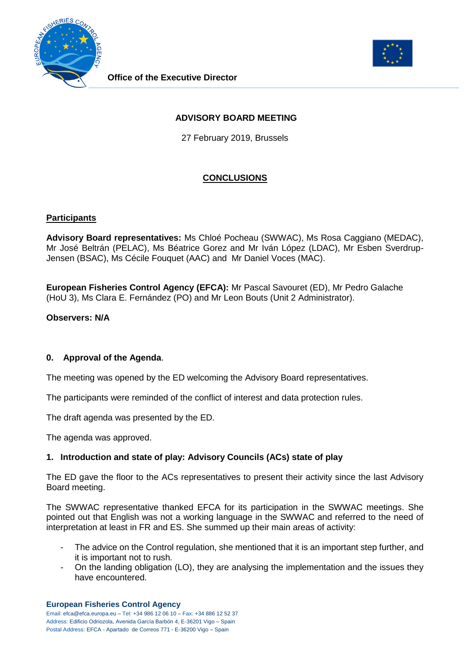



# **ADVISORY BOARD MEETING**

27 February 2019, Brussels

# **CONCLUSIONS**

### **Participants**

**Advisory Board representatives:** Ms Chloé Pocheau (SWWAC), Ms Rosa Caggiano (MEDAC), Mr José Beltrán (PELAC), Ms Béatrice Gorez and Mr Iván López (LDAC), Mr Esben Sverdrup-Jensen (BSAC), Ms Cécile Fouquet (AAC) and Mr Daniel Voces (MAC).

**European Fisheries Control Agency (EFCA):** Mr Pascal Savouret (ED), Mr Pedro Galache (HoU 3), Ms Clara E. Fernández (PO) and Mr Leon Bouts (Unit 2 Administrator).

**Observers: N/A**

## **0. Approval of the Agenda**.

The meeting was opened by the ED welcoming the Advisory Board representatives.

The participants were reminded of the conflict of interest and data protection rules.

The draft agenda was presented by the ED.

The agenda was approved.

### **1. Introduction and state of play: Advisory Councils (ACs) state of play**

The ED gave the floor to the ACs representatives to present their activity since the last Advisory Board meeting.

The SWWAC representative thanked EFCA for its participation in the SWWAC meetings. She pointed out that English was not a working language in the SWWAC and referred to the need of interpretation at least in FR and ES. She summed up their main areas of activity:

- The advice on the Control regulation, she mentioned that it is an important step further, and it is important not to rush.
- On the landing obligation (LO), they are analysing the implementation and the issues they have encountered.

#### **European Fisheries Control Agency**

Email: efca@efca.europa.eu – Tel: +34 986 12 06 10 – Fax: +34 886 12 52 37 Address: Edificio Odriozola, Avenida García Barbón 4, E-36201 Vigo – Spain Postal Address: EFCA - Apartado de Correos 771 - E-36200 Vigo – Spain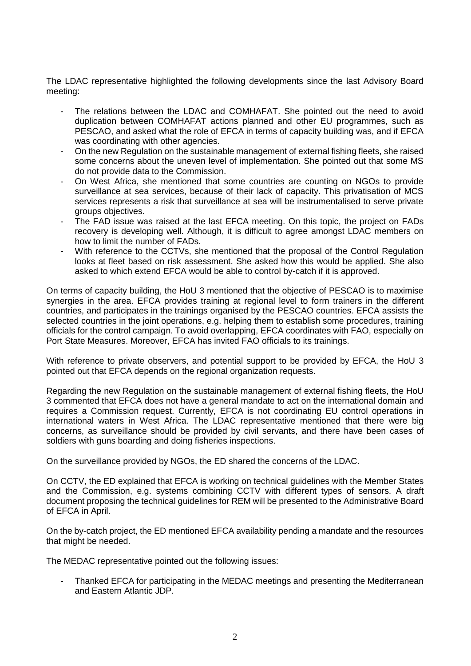The LDAC representative highlighted the following developments since the last Advisory Board meeting:

- The relations between the LDAC and COMHAFAT. She pointed out the need to avoid duplication between COMHAFAT actions planned and other EU programmes, such as PESCAO, and asked what the role of EFCA in terms of capacity building was, and if EFCA was coordinating with other agencies.
- On the new Regulation on the sustainable management of external fishing fleets, she raised some concerns about the uneven level of implementation. She pointed out that some MS do not provide data to the Commission.
- On West Africa, she mentioned that some countries are counting on NGOs to provide surveillance at sea services, because of their lack of capacity. This privatisation of MCS services represents a risk that surveillance at sea will be instrumentalised to serve private groups objectives.
- The FAD issue was raised at the last EFCA meeting. On this topic, the project on FADs recovery is developing well. Although, it is difficult to agree amongst LDAC members on how to limit the number of FADs.
- With reference to the CCTVs, she mentioned that the proposal of the Control Regulation looks at fleet based on risk assessment. She asked how this would be applied. She also asked to which extend EFCA would be able to control by-catch if it is approved.

On terms of capacity building, the HoU 3 mentioned that the objective of PESCAO is to maximise synergies in the area. EFCA provides training at regional level to form trainers in the different countries, and participates in the trainings organised by the PESCAO countries. EFCA assists the selected countries in the joint operations, e.g. helping them to establish some procedures, training officials for the control campaign. To avoid overlapping, EFCA coordinates with FAO, especially on Port State Measures. Moreover, EFCA has invited FAO officials to its trainings.

With reference to private observers, and potential support to be provided by EFCA, the HoU 3 pointed out that EFCA depends on the regional organization requests.

Regarding the new Regulation on the sustainable management of external fishing fleets, the HoU 3 commented that EFCA does not have a general mandate to act on the international domain and requires a Commission request. Currently, EFCA is not coordinating EU control operations in international waters in West Africa. The LDAC representative mentioned that there were big concerns, as surveillance should be provided by civil servants, and there have been cases of soldiers with guns boarding and doing fisheries inspections.

On the surveillance provided by NGOs, the ED shared the concerns of the LDAC.

On CCTV, the ED explained that EFCA is working on technical guidelines with the Member States and the Commission, e.g. systems combining CCTV with different types of sensors. A draft document proposing the technical guidelines for REM will be presented to the Administrative Board of EFCA in April.

On the by-catch project, the ED mentioned EFCA availability pending a mandate and the resources that might be needed.

The MEDAC representative pointed out the following issues:

- Thanked EFCA for participating in the MEDAC meetings and presenting the Mediterranean and Eastern Atlantic JDP.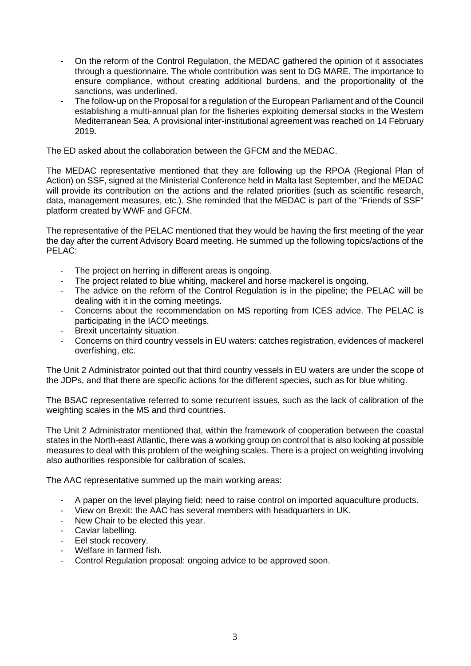- On the reform of the Control Regulation, the MEDAC gathered the opinion of it associates through a questionnaire. The whole contribution was sent to DG MARE. The importance to ensure compliance, without creating additional burdens, and the proportionality of the sanctions, was underlined.
- The follow-up on the Proposal for a regulation of the European Parliament and of the Council establishing a multi-annual plan for the fisheries exploiting demersal stocks in the Western Mediterranean Sea. A provisional inter-institutional agreement was reached on 14 February 2019.

The ED asked about the collaboration between the GFCM and the MEDAC.

The MEDAC representative mentioned that they are following up the RPOA (Regional Plan of Action) on SSF, signed at the Ministerial Conference held in Malta last September, and the MEDAC will provide its contribution on the actions and the related priorities (such as scientific research, data, management measures, etc.). She reminded that the MEDAC is part of the "Friends of SSF" platform created by WWF and GFCM.

The representative of the PELAC mentioned that they would be having the first meeting of the year the day after the current Advisory Board meeting. He summed up the following topics/actions of the PELAC:

- The project on herring in different areas is ongoing.
- The project related to blue whiting, mackerel and horse mackerel is ongoing.
- The advice on the reform of the Control Regulation is in the pipeline; the PELAC will be dealing with it in the coming meetings.
- Concerns about the recommendation on MS reporting from ICES advice. The PELAC is participating in the IACO meetings.
- Brexit uncertainty situation.
- Concerns on third country vessels in EU waters: catches registration, evidences of mackerel overfishing, etc.

The Unit 2 Administrator pointed out that third country vessels in EU waters are under the scope of the JDPs, and that there are specific actions for the different species, such as for blue whiting.

The BSAC representative referred to some recurrent issues, such as the lack of calibration of the weighting scales in the MS and third countries.

The Unit 2 Administrator mentioned that, within the framework of cooperation between the coastal states in the North-east Atlantic, there was a working group on control that is also looking at possible measures to deal with this problem of the weighing scales. There is a project on weighting involving also authorities responsible for calibration of scales.

The AAC representative summed up the main working areas:

- A paper on the level playing field: need to raise control on imported aquaculture products.
- View on Brexit: the AAC has several members with headquarters in UK.
- New Chair to be elected this year.
- Caviar labelling.
- Eel stock recovery.
- Welfare in farmed fish.
- Control Regulation proposal: ongoing advice to be approved soon.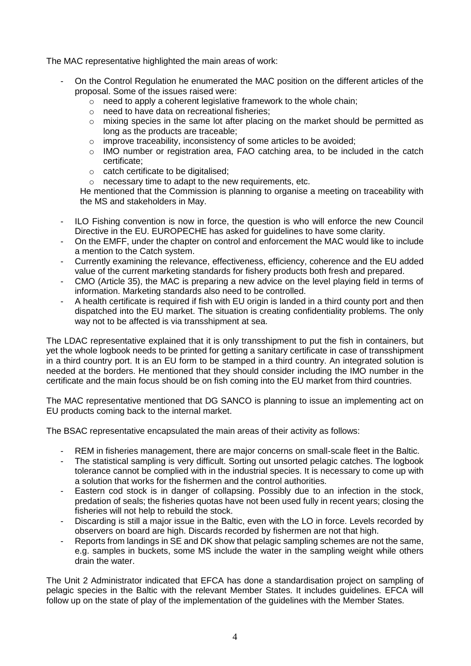The MAC representative highlighted the main areas of work:

- On the Control Regulation he enumerated the MAC position on the different articles of the proposal. Some of the issues raised were:
	- $\circ$  need to apply a coherent legislative framework to the whole chain;
	- o need to have data on recreational fisheries;
	- o mixing species in the same lot after placing on the market should be permitted as long as the products are traceable;
	- o improve traceability, inconsistency of some articles to be avoided;
	- o IMO number or registration area, FAO catching area, to be included in the catch certificate;
	- o catch certificate to be digitalised;
	- o necessary time to adapt to the new requirements, etc.

He mentioned that the Commission is planning to organise a meeting on traceability with the MS and stakeholders in May.

- ILO Fishing convention is now in force, the question is who will enforce the new Council Directive in the EU. EUROPECHE has asked for guidelines to have some clarity.
- On the EMFF, under the chapter on control and enforcement the MAC would like to include a mention to the Catch system.
- Currently examining the relevance, effectiveness, efficiency, coherence and the EU added value of the current marketing standards for fishery products both fresh and prepared.
- CMO (Article 35), the MAC is preparing a new advice on the level playing field in terms of information. Marketing standards also need to be controlled.
- A health certificate is required if fish with EU origin is landed in a third county port and then dispatched into the EU market. The situation is creating confidentiality problems. The only way not to be affected is via transshipment at sea.

The LDAC representative explained that it is only transshipment to put the fish in containers, but yet the whole logbook needs to be printed for getting a sanitary certificate in case of transshipment in a third country port. It is an EU form to be stamped in a third country. An integrated solution is needed at the borders. He mentioned that they should consider including the IMO number in the certificate and the main focus should be on fish coming into the EU market from third countries.

The MAC representative mentioned that DG SANCO is planning to issue an implementing act on EU products coming back to the internal market.

The BSAC representative encapsulated the main areas of their activity as follows:

- REM in fisheries management, there are major concerns on small-scale fleet in the Baltic.
- The statistical sampling is very difficult. Sorting out unsorted pelagic catches. The logbook tolerance cannot be complied with in the industrial species. It is necessary to come up with a solution that works for the fishermen and the control authorities.
- Eastern cod stock is in danger of collapsing. Possibly due to an infection in the stock, predation of seals; the fisheries quotas have not been used fully in recent years; closing the fisheries will not help to rebuild the stock.
- Discarding is still a major issue in the Baltic, even with the LO in force. Levels recorded by observers on board are high. Discards recorded by fishermen are not that high.
- Reports from landings in SE and DK show that pelagic sampling schemes are not the same, e.g. samples in buckets, some MS include the water in the sampling weight while others drain the water.

The Unit 2 Administrator indicated that EFCA has done a standardisation project on sampling of pelagic species in the Baltic with the relevant Member States. It includes guidelines. EFCA will follow up on the state of play of the implementation of the guidelines with the Member States.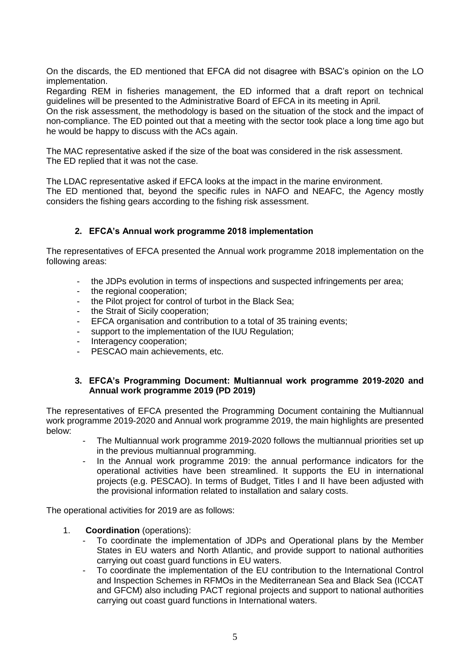On the discards, the ED mentioned that EFCA did not disagree with BSAC's opinion on the LO implementation.

Regarding REM in fisheries management, the ED informed that a draft report on technical guidelines will be presented to the Administrative Board of EFCA in its meeting in April.

On the risk assessment, the methodology is based on the situation of the stock and the impact of non-compliance. The ED pointed out that a meeting with the sector took place a long time ago but he would be happy to discuss with the ACs again.

The MAC representative asked if the size of the boat was considered in the risk assessment. The ED replied that it was not the case.

The LDAC representative asked if EFCA looks at the impact in the marine environment. The ED mentioned that, beyond the specific rules in NAFO and NEAFC, the Agency mostly considers the fishing gears according to the fishing risk assessment.

### **2. EFCA's Annual work programme 2018 implementation**

The representatives of EFCA presented the Annual work programme 2018 implementation on the following areas:

- the JDPs evolution in terms of inspections and suspected infringements per area;
- the regional cooperation;
- the Pilot project for control of turbot in the Black Sea;
- the Strait of Sicily cooperation;
- EFCA organisation and contribution to a total of 35 training events;
- support to the implementation of the IUU Regulation;
- Interagency cooperation;
- PESCAO main achievements, etc.

#### **3. EFCA's Programming Document: Multiannual work programme 2019-2020 and Annual work programme 2019 (PD 2019)**

The representatives of EFCA presented the Programming Document containing the Multiannual work programme 2019-2020 and Annual work programme 2019, the main highlights are presented below:

- The Multiannual work programme 2019-2020 follows the multiannual priorities set up in the previous multiannual programming.
- In the Annual work programme 2019: the annual performance indicators for the operational activities have been streamlined. It supports the EU in international projects (e.g. PESCAO). In terms of Budget, Titles I and II have been adjusted with the provisional information related to installation and salary costs.

The operational activities for 2019 are as follows:

- 1. **Coordination** (operations):
	- To coordinate the implementation of JDPs and Operational plans by the Member States in EU waters and North Atlantic, and provide support to national authorities carrying out coast guard functions in EU waters.
	- To coordinate the implementation of the EU contribution to the International Control and Inspection Schemes in RFMOs in the Mediterranean Sea and Black Sea (ICCAT and GFCM) also including PACT regional projects and support to national authorities carrying out coast guard functions in International waters.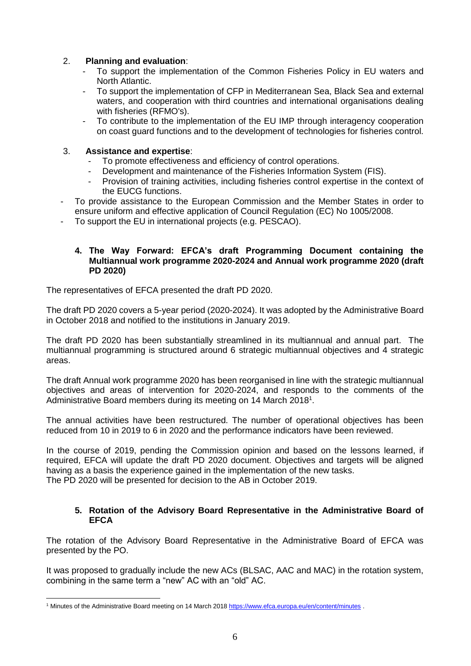### 2. **Planning and evaluation**:

- To support the implementation of the Common Fisheries Policy in EU waters and North Atlantic.
- To support the implementation of CFP in Mediterranean Sea, Black Sea and external waters, and cooperation with third countries and international organisations dealing with fisheries (RFMO's).
- To contribute to the implementation of the EU IMP through interagency cooperation on coast guard functions and to the development of technologies for fisheries control.

### 3. **Assistance and expertise**:

- To promote effectiveness and efficiency of control operations.
- Development and maintenance of the Fisheries Information System (FIS).
- Provision of training activities, including fisheries control expertise in the context of the EUCG functions.
- To provide assistance to the European Commission and the Member States in order to ensure uniform and effective application of Council Regulation (EC) No 1005/2008.
- To support the EU in international projects (e.g. PESCAO).

### **4. The Way Forward: EFCA's draft Programming Document containing the Multiannual work programme 2020-2024 and Annual work programme 2020 (draft PD 2020)**

The representatives of EFCA presented the draft PD 2020.

The draft PD 2020 covers a 5-year period (2020-2024). It was adopted by the Administrative Board in October 2018 and notified to the institutions in January 2019.

The draft PD 2020 has been substantially streamlined in its multiannual and annual part. The multiannual programming is structured around 6 strategic multiannual objectives and 4 strategic areas.

The draft Annual work programme 2020 has been reorganised in line with the strategic multiannual objectives and areas of intervention for 2020-2024, and responds to the comments of the Administrative Board members during its meeting on 14 March 2018<sup>1</sup>.

The annual activities have been restructured. The number of operational objectives has been reduced from 10 in 2019 to 6 in 2020 and the performance indicators have been reviewed.

In the course of 2019, pending the Commission opinion and based on the lessons learned, if required, EFCA will update the draft PD 2020 document. Objectives and targets will be aligned having as a basis the experience gained in the implementation of the new tasks. The PD 2020 will be presented for decision to the AB in October 2019.

### **5. Rotation of the Advisory Board Representative in the Administrative Board of EFCA**

The rotation of the Advisory Board Representative in the Administrative Board of EFCA was presented by the PO.

It was proposed to gradually include the new ACs (BLSAC, AAC and MAC) in the rotation system, combining in the same term a "new" AC with an "old" AC.

 $\overline{a}$ <sup>1</sup> Minutes of the Administrative Board meeting on 14 March 201[8 https://www.efca.europa.eu/en/content/minutes](https://www.efca.europa.eu/en/content/minutes) .